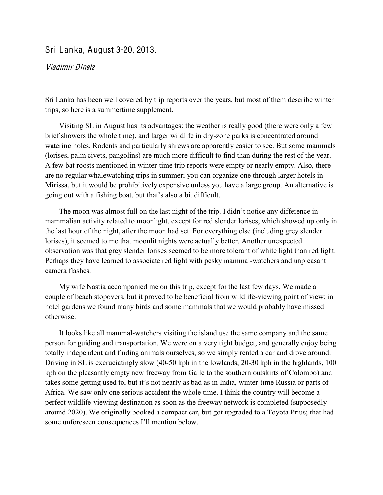## Sri Lanka, August 3-20, 2013.

## Vladimir Dinets

Sri Lanka has been well covered by trip reports over the years, but most of them describe winter trips, so here is a summertime supplement.

Visiting SL in August has its advantages: the weather is really good (there were only a few brief showers the whole time), and larger wildlife in dry-zone parks is concentrated around watering holes. Rodents and particularly shrews are apparently easier to see. But some mammals (lorises, palm civets, pangolins) are much more difficult to find than during the rest of the year. A few bat roosts mentioned in winter-time trip reports were empty or nearly empty. Also, there are no regular whalewatching trips in summer; you can organize one through larger hotels in Mirissa, but it would be prohibitively expensive unless you have a large group. An alternative is going out with a fishing boat, but that's also a bit difficult.

The moon was almost full on the last night of the trip. I didn't notice any difference in mammalian activity related to moonlight, except for red slender lorises, which showed up only in the last hour of the night, after the moon had set. For everything else (including grey slender lorises), it seemed to me that moonlit nights were actually better. Another unexpected observation was that grey slender lorises seemed to be more tolerant of white light than red light. Perhaps they have learned to associate red light with pesky mammal-watchers and unpleasant camera flashes.

My wife Nastia accompanied me on this trip, except for the last few days. We made a couple of beach stopovers, but it proved to be beneficial from wildlife-viewing point of view: in hotel gardens we found many birds and some mammals that we would probably have missed otherwise.

It looks like all mammal-watchers visiting the island use the same company and the same person for guiding and transportation. We were on a very tight budget, and generally enjoy being totally independent and finding animals ourselves, so we simply rented a car and drove around. Driving in SL is excruciatingly slow (40-50 kph in the lowlands, 20-30 kph in the highlands, 100 kph on the pleasantly empty new freeway from Galle to the southern outskirts of Colombo) and takes some getting used to, but it's not nearly as bad as in India, winter-time Russia or parts of Africa. We saw only one serious accident the whole time. I think the country will become a perfect wildlife-viewing destination as soon as the freeway network is completed (supposedly around 2020). We originally booked a compact car, but got upgraded to a Toyota Prius; that had some unforeseen consequences I'll mention below.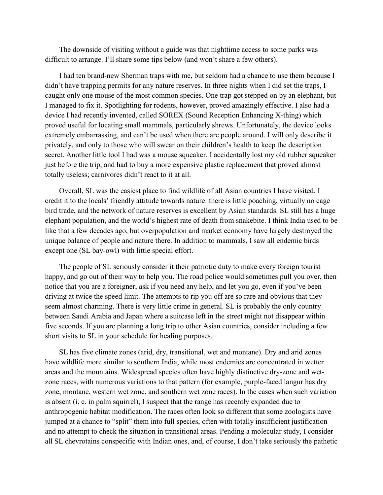The downside of visiting without a guide was that nighttime access to some parks was difficult to arrange. I'll share some tips below (and won't share a few others).

I had ten brand-new Sherman traps with me, but seldom had a chance to use them because I didn't have trapping permits for any nature reserves. In three nights when I did set the traps, I caught only one mouse of the most common species. One trap got stepped on by an elephant, but I managed to fix it. Spotlighting for rodents, however, proved amazingly effective. I also had a device I had recently invented, called SOREX (Sound Reception Enhancing X-thing) which proved useful for locating small mammals, particularly shrews. Unfortunately, the device looks extremely embarrassing, and can't be used when there are people around. I will only describe it privately, and only to those who will swear on their children's health to keep the description secret. Another little tool I had was a mouse squeaker. I accidentally lost my old rubber squeaker just before the trip, and had to buy a more expensive plastic replacement that proved almost totally useless; carnivores didn't react to it at all.

Overall, SL was the easiest place to find wildlife of all Asian countries I have visited. I eredit it to the locals' friendly attitude towards nature: there is little poaching, virtually no cage bird trade, and the network of nature reserves is excellent by Asian standards. SL still has a huge elephant population, and the world's highest rate of death from snakebite. I think India used to be like that a few decades ago, but overpopulation and market economy have largely destroyed the unique balance of people and nature there. In addition to mammals, I saw all endemic birds except one (SL bay-owl) with little special effort.

The people of SL seriously consider it their patriotic duty to make every foreign tourist happy, and go out of their way to help you. The road police would sometimes pull you over, then notice that you are a foreigner, ask if you need any help, and let you go, even if you've been driving at twice the speed limit. The attempts to rip you off are so rare and obvious that they seem almost charming. There is very little crime in general. SL is probably the only country between Saudi Arabia and Japan where a suitcase left in the street might not disappear within five seconds. If you are planning a long trip to other Asian countries, consider including a few short visits to SL in your schedule for healing purposes.

SL has five climate zones (arid, dry, transitional, wet and montane). Dry and arid zones have wildlife more similar to southern India, while most endemics are concentrated in wetter areas and the mountains. Widespread species often have highly distinctive dry-zone and wetzone races, with numerous variations to that pattern (for example, purple-faced langur has dry zone, montane, western wet zone, and southern wet zone races). In the cases when such variation is absent (i. e. in palm squirrel), I suspect that the range has recently expanded due to anthropogenic habitat modification. The races often look so different that some zoologists have jumped at a chance to "split" them into full species, often with totally insufficient justification and no attempt to check the situation in transitional areas. Pending a molecular study, I consider all SL chevrotains conspecific with Indian ones, and, of course, I don't take seriously the pathetic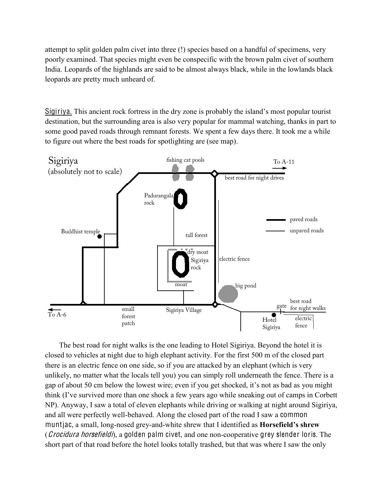attempt to split golden palm civet into three (!) species based on a handful of specimens, very poorly examined. That species might even be conspecific with the brown palm civet of southern India. Leopards of the highlands are said to be almost always black, while in the lowlands black leopards are pretty much unheard of.

Sigiriya. This ancient rock fortress in the dry zone is probably the island's most popular tourist destination, but the surrounding area is also very popular for mammal watching, thanks in part to some good paved roads through remnant forests. We spent a few days there. It took me a while to figure out where the best roads for spotlighting are (see map).



The best road for night walks is the one leading to Hotel Sigiriya. Beyond the hotel it is closed to vehicles at night due to high elephant activity. For the first 500 m of the closed part there is an electric fence on one side, so if you are attacked by an elephant (which is very unlikely, no matter what the locals tell you) you can simply roll underneath the fence. There is a gap of about 50 cm below the lowest wire; even if you get shocked, it's not as bad as you might think (I've survived more than one shock a few years ago while sneaking out of camps in Corbett NP). Anyway, I saw a total of eleven elephants while driving or walking at night around Sigiriya, and all were perfectly well-behaved. Along the closed part of the road I saw a common muntjac, a small, long-nosed grey-and-white shrew that I identified as **Horsefield's shrew** (*Crocidura horsefieldi*), a golden palm civet, and one non-cooperative grey slender loris. The short part of that road before the hotel looks totally trashed, but that was where I saw the only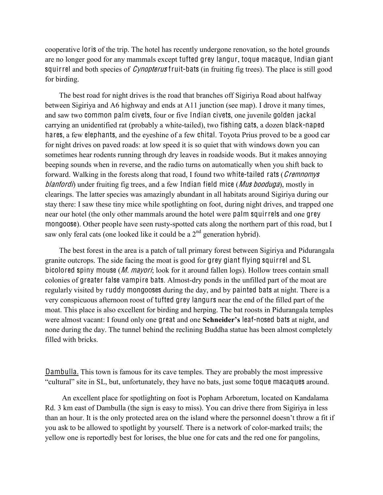cooperative loris of the trip. The hotel has recently undergone renovation, so the hotel grounds are no longer good for any mammals except tufted grey langur, toque macaque, Indian giant squirrel and both species of *Cynopterus* fruit-bats (in fruiting fig trees). The place is still good for birding.

The best road for night drives is the road that branches off Sigiriya Road about halfway between Sigiriya and A6 highway and ends at A11 junction (see map). I drove it many times, and saw two common palm civets, four or five Indian civets, one juvenile golden jackal carrying an unidentified rat (probably a white-tailed), two fishing cats, a dozen black-naped hares, a few elephants, and the eyeshine of a few chital. Toyota Prius proved to be a good car for night drives on paved roads: at low speed it is so quiet that with windows down you can sometimes hear rodents running through dry leaves in roadside woods. But it makes annoying beeping sounds when in reverse, and the radio turns on automatically when you shift back to forward. Walking in the forests along that road, I found two white-tailed rats (*Cremnomys* blanfordi) under fruiting fig trees, and a few Indian field mice (*Mus booduga*), mostly in clearings. The latter species was amazingly abundant in all habitats around Sigiriya during our stay there: I saw these tiny mice while spotlighting on foot, during night drives, and trapped one near our hotel (the only other mammals around the hotel were palm squirrels and one grey mongoose). Other people have seen rusty-spotted cats along the northern part of this road, but I saw only feral cats (one looked like it could be a  $2<sup>nd</sup>$  generation hybrid).

The best forest in the area is a patch of tall primary forest between Sigiriya and Pidurangala granite outcrops. The side facing the moat is good for grey giant flying squirrel and SL bicolored spiny mouse (*M. mayori*; look for it around fallen logs). Hollow trees contain small colonies of greater false vampire bats. Almost-dry ponds in the unfilled part of the moat are regularly visited by ruddy mongooses during the day, and by painted bats at night. There is a very conspicuous afternoon roost of tufted grey langurs near the end of the filled part of the moat. This place is also excellent for birding and herping. The bat roosts in Pidurangala temples were almost vacant: I found only one great and one **Schneider's** leaf-nosed bats at night, and none during the day. The tunnel behind the reclining Buddha statue has been almost completely filled with bricks.

Dambulla. This town is famous for its cave temples. They are probably the most impressive "cultural" site in SL, but, unfortunately, they have no bats, just some toque macaques around.

An excellent place for spotlighting on foot is Popham Arboretum, located on Kandalama Rd. 3 km east of Dambulla (the sign is easy to miss). You can drive there from Sigiriya in less than an hour. It is the only protected area on the island where the personnel doesn't throw a fit if you ask to be allowed to spotlight by yourself. There is a network of color-marked trails; the yellow one is reportedly best for lorises, the blue one for cats and the red one for pangolins,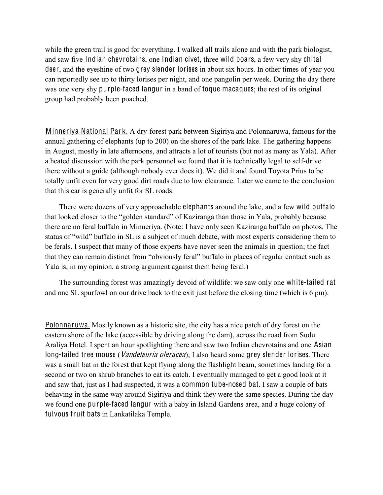while the green trail is good for everything. I walked all trails alone and with the park biologist, and saw five Indian chevrotains, one Indian civet, three wild boars, a few very shy chital deer, and the eyeshine of two grey slender lorises in about six hours. In other times of year you can reportedly see up to thirty lorises per night, and one pangolin per week. During the day there was one very shy purple-faced langur in a band of toque macaques; the rest of its original group had probably been poached.

Minneriya National Park. A dry-forest park between Sigiriya and Polonnaruwa, famous for the annual gathering of elephants (up to 200) on the shores of the park lake. The gathering happens in August, mostly in late afternoons, and attracts a lot of tourists (but not as many as Yala). After a heated discussion with the park personnel we found that it is technically legal to self-drive there without a guide (although nobody ever does it). We did it and found Toyota Prius to be totally unfit even for very good dirt roads due to low clearance. Later we came to the conclusion that this car is generally unfit for SL roads.

There were dozens of very approachable elephants around the lake, and a few wild buffalo that looked closer to the "golden standard" of Kaziranga than those in Yala, probably because there are no feral buffalo in Minneriya. (Note: I have only seen Kaziranga buffalo on photos. The status of "wild" buffalo in SL is a subject of much debate, with most experts considering them to be ferals. I suspect that many of those experts have never seen the animals in question; the fact that they can remain distinct from "obviously feral" buffalo in places of regular contact such as Yala is, in my opinion, a strong argument against them being feral.)

The surrounding forest was amazingly devoid of wildlife: we saw only one white-tailed rat and one SL spurfowl on our drive back to the exit just before the closing time (which is 6 pm).

Polonnaruwa. Mostly known as a historic site, the city has a nice patch of dry forest on the eastern shore of the lake (accessible by driving along the dam), across the road from Sudu Araliya Hotel. I spent an hour spotlighting there and saw two Indian chevrotains and one Asian long-tailed tree mouse (*Vandeleuria oleracea*); I also heard some grey slender lorises. There was a small bat in the forest that kept flying along the flashlight beam, sometimes landing for a second or two on shrub branches to eat its catch. I eventually managed to get a good look at it and saw that, just as I had suspected, it was a common tube-nosed bat. I saw a couple of bats behaving in the same way around Sigiriya and think they were the same species. During the day we found one purple-faced langur with a baby in Island Gardens area, and a huge colony of fulvous fruit bats in Lankatilaka Temple.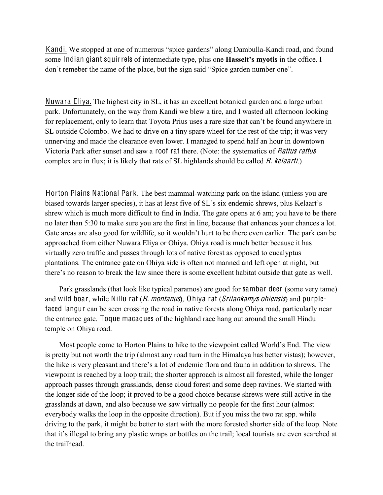Kandi. We stopped at one of numerous "spice gardens" along Dambulla-Kandi road, and found some Indian giant squirrels of intermediate type, plus one **Hasselt's myotis** in the office. I don't remeber the name of the place, but the sign said "Spice garden number one".

Nuwara Eliya. The highest city in SL, it has an excellent botanical garden and a large urban park. Unfortunately, on the way from Kandi we blew a tire, and I wasted all afternoon looking for replacement, only to learn that Toyota Prius uses a rare size that can't be found anywhere in SL outside Colombo. We had to drive on a tiny spare wheel for the rest of the trip; it was very unnerving and made the clearance even lower. I managed to spend half an hour in downtown Victoria Park after sunset and saw a roof rat there. (Note: the systematics of Rattu<sup>s</sup> rattu<sup>s</sup> complex are in flux; it is likely that rats of SL highlands should be called  $R$ . kelaarti.)

Horton Plains National Park. The best mammal-watching park on the island (unless you are biased towards larger species), it has at least five of SL's six endemic shrews, plus Kelaart's shrew which is much more difficult to find in India. The gate opens at 6 am; you have to be there no later than 5:30 to make sure you are the first in line, because that enhances your chances a lot. Gate areas are also good for wildlife, so it wouldn't hurt to be there even earlier. The park can be approached from either Nuwara Eliya or Ohiya. Ohiya road is much better because it has virtually zero traffic and passes through lots of native forest as opposed to eucalyptus plantations. The entrance gate on Ohiya side is often not manned and left open at night, but there's no reason to break the law since there is some excellent habitat outside that gate as well.

Park grasslands (that look like typical paramos) are good for sambar deer (some very tame) and wild boar, while Nillu rat  $(R.$  montanus), Ohiya rat  $(Srilankamys ohiensis)$  and purplefaced langur can be seen crossing the road in native forests along Ohiya road, particularly near the entrance gate. Toque macaques of the highland race hang out around the small Hindu temple on Ohiya road.

Most people come to Horton Plains to hike to the viewpoint called World's End. The view is pretty but not worth the trip (almost any road turn in the Himalaya has better vistas); however, the hike is very pleasant and there's a lot of endemic flora and fauna in addition to shrews. The viewpoint is reached by a loop trail; the shorter approach is almost all forested, while the longer approach passes through grasslands, dense cloud forest and some deep ravines. We started with the longer side of the loop; it proved to be a good choice because shrews were still active in the grasslands at dawn, and also because we saw virtually no people for the first hour (almost everybody walks the loop in the opposite direction). But if you miss the two rat spp. while driving to the park, it might be better to start with the more forested shorter side of the loop. Note that it's illegal to bring any plastic wraps or bottles on the trail; local tourists are even searched at the trailhead.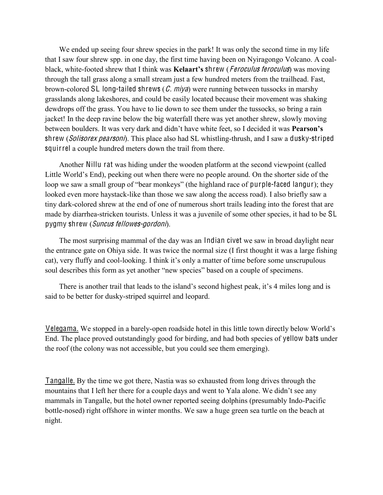We ended up seeing four shrew species in the park! It was only the second time in my life that I saw four shrew spp. in one day, the first time having been on Nyiragongo Volcano. A coalblack, white-footed shrew that I think was **Kelaart's shrew** (*Feroculus feroculus*) was moving through the tall grass along a small stream just a few hundred meters from the trailhead. Fast, brown-colored SL long-tailed shrews  $(C. mya)$  were running between tussocks in marshy grasslands along lakeshores, and could be easily located because their movement was shaking dewdrops off the grass. You have to lie down to see them under the tussocks, so bring a rain jacket! In the deep ravine below the big waterfall there was yet another shrew, slowly moving between boulders. It was very dark and didn't have white feet, so I decided it was **Pearson's** shrew (Solisorex pearsoni). This place also had SL whistling-thrush, and I saw a dusky-striped squirrel a couple hundred meters down the trail from there.

Another Nillu rat was hiding under the wooden platform at the second viewpoint (called Little World's End), peeking out when there were no people around. On the shorter side of the loop we saw a small group of "bear monkeys" (the highland race of purple-faced langur); they looked even more haystack-like than those we saw along the access road). I also briefly saw a tiny dark-colored shrew at the end of one of numerous short trails leading into the forest that are made by diarrhea-stricken tourists. Unless it was a juvenile of some other species, it had to be SL pygmy shrew (Suncu<sup>s</sup> fellowe<sup>s</sup>-gordoni).

The most surprising mammal of the day was an Indian civet we saw in broad daylight near the entrance gate on Ohiya side. It was twice the normal size (I first thought it was a large fishing cat), very fluffy and cool-looking. I think it's only a matter of time before some unscrupulous soul describes this form as yet another "new species" based on a couple of specimens.

There is another trail that leads to the island's second highest peak, it's 4 miles long and is said to be better for dusky-striped squirrel and leopard.

Velegama. We stopped in a barely-open roadside hotel in this little town directly below World's End. The place proved outstandingly good for birding, and had both species of yellow bats under the roof (the colony was not accessible, but you could see them emerging).

Tangalle. By the time we got there, Nastia was so exhausted from long drives through the mountains that I left her there for a couple days and went to Yala alone. We didn't see any mammals in Tangalle, but the hotel owner reported seeing dolphins (presumably Indo-Pacific bottle-nosed) right offshore in winter months. We saw a huge green sea turtle on the beach at night.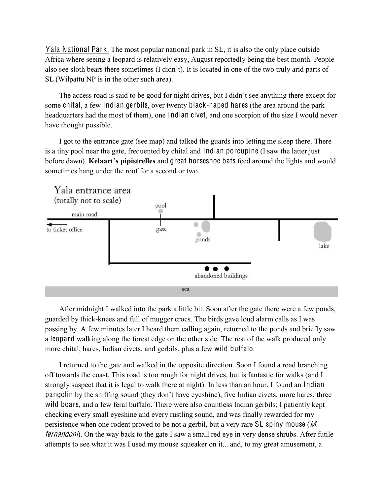Yala National Park. The most popular national park in SL, it is also the only place outside Africa where seeing a leopard is relatively easy, August reportedly being the best month. People also see sloth bears there sometimes (I didn't). It is located in one of the two truly arid parts of SL (Wilpattu NP is in the other such area).

The access road is said to be good for night drives, but I didn't see anything there except for some chital, a few Indian gerbils, over twenty black-naped hares (the area around the park headquarters had the most of them), one Indian civet, and one scorpion of the size I would never have thought possible.

I got to the entrance gate (see map) and talked the guards into letting me sleep there. There is a tiny pool near the gate, frequented by chital and Indian porcupine (I saw the latter just before dawn). **Kelaart's pipistrelles** and great horseshoe bats feed around the lights and would sometimes hang under the roof for a second or two.



After midnight I walked into the park a little bit. Soon after the gate there were a few ponds, guarded by thick-knees and full of mugger crocs. The birds gave loud alarm calls as I was passing by. A few minutes later I heard them calling again, returned to the ponds and briefly saw a leopard walking along the forest edge on the other side. The rest of the walk produced only more chital, hares, Indian civets, and gerbils, plus a few wild buffalo.

I returned to the gate and walked in the opposite direction. Soon I found a road branching off towards the coast. This road is too rough for night drives, but is fantastic for walks (and I strongly suspect that it is legal to walk there at night). In less than an hour, I found an Indian pangolin by the sniffing sound (they don't have eyeshine), five Indian civets, more hares, three wild boars, and a few feral buffalo. There were also countless Indian gerbils; I patiently kept checking every small eyeshine and every rustling sound, and was finally rewarded for my persistence when one rodent proved to be not a gerbil, but a very rare SL spiny mouse (M. fernandoni). On the way back to the gate I saw a small red eye in very dense shrubs. After futile attempts to see what it was I used my mouse squeaker on it... and, to my great amusement, a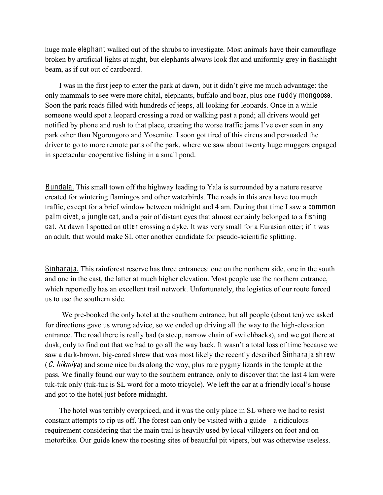huge male elephant walked out of the shrubs to investigate. Most animals have their camouflage broken by artificial lights at night, but elephants always look flat and uniformly grey in flashlight beam, as if cut out of cardboard.

I was in the first jeep to enter the park at dawn, but it didn't give me much advantage: the only mammals to see were more chital, elephants, buffalo and boar, plus one ruddy mongoose. Soon the park roads filled with hundreds of jeeps, all looking for leopards. Once in a while someone would spot a leopard crossing a road or walking past a pond; all drivers would get notified by phone and rush to that place, creating the worse traffic jams I've ever seen in any park other than Ngorongoro and Yosemite. I soon got tired of this circus and persuaded the driver to go to more remote parts of the park, where we saw about twenty huge muggers engaged in spectacular cooperative fishing in a small pond.

Bundala. This small town off the highway leading to Yala is surrounded by a nature reserve created for wintering flamingos and other waterbirds. The roads in this area have too much traffic, except for a brief window between midnight and 4 am. During that time I saw a common palm civet, a jungle cat, and a pair of distant eyes that almost certainly belonged to a fishing cat. At dawn I spotted an otter crossing a dyke. It was very small for a Eurasian otter; if it was an adult, that would make SL otter another candidate for pseudo-scientific splitting.

Sinharaja. This rainforest reserve has three entrances: one on the northern side, one in the south and one in the east, the latter at much higher elevation. Most people use the northern entrance, which reportedly has an excellent trail network. Unfortunately, the logistics of our route forced us to use the southern side.

We pre-booked the only hotel at the southern entrance, but all people (about ten) we asked for directions gave us wrong advice, so we ended up driving all the way to the high-elevation entrance. The road there is really bad (a steep, narrow chain of switchbacks), and we got there at dusk, only to find out that we had to go all the way back. It wasn't a total loss of time because we saw a dark-brown, big-eared shrew that was most likely the recently described Sinharaja shrew  $(C. hikmiya)$  and some nice birds along the way, plus rare pygmy lizards in the temple at the pass. We finally found our way to the southern entrance, only to discover that the last 4 km were tuk-tuk only (tuk-tuk is SL word for a moto tricycle). We left the car at a friendly local's house and got to the hotel just before midnight.

The hotel was terribly overpriced, and it was the only place in SL where we had to resist constant attempts to rip us off. The forest can only be visited with a guide  $-\alpha$  ridiculous requirement considering that the main trail is heavily used by local villagers on foot and on motorbike. Our guide knew the roosting sites of beautiful pit vipers, but was otherwise useless.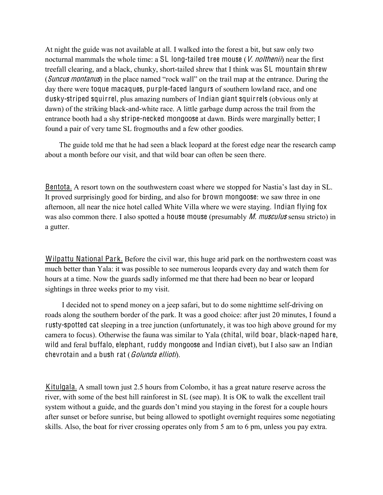At night the guide was not available at all. I walked into the forest a bit, but saw only two nocturnal mammals the whole time: a SL long-tailed tree mouse  $(V.$  nolthenii) near the first treefall clearing, and a black, chunky, short-tailed shrew that I think was SL mountain shrew (Suncus montanus) in the place named "rock wall" on the trail map at the entrance. During the day there were toque macaques, purple-faced langurs of southern lowland race, and one dusky-striped squirrel, plus amazing numbers of Indian giant squirrels (obvious only at dawn) of the striking black-and-white race. A little garbage dump across the trail from the entrance booth had a shy stripe-necked mongoose at dawn. Birds were marginally better; I found a pair of very tame SL frogmouths and a few other goodies.

The guide told me that he had seen a black leopard at the forest edge near the research camp about a month before our visit, and that wild boar can often be seen there.

Bentota. A resort town on the southwestern coast where we stopped for Nastia's last day in SL. It proved surprisingly good for birding, and also for brown mongoose: we saw three in one afternoon, all near the nice hotel called White Villa where we were staying. Indian flying fox was also common there. I also spotted a house mouse (presumably *M. musculus* sensu stricto) in a gutter.

Wilpattu National Park. Before the civil war, this huge arid park on the northwestern coast was much better than Yala: it was possible to see numerous leopards every day and watch them for hours at a time. Now the guards sadly informed me that there had been no bear or leopard sightings in three weeks prior to my visit.

I decided not to spend money on a jeep safari, but to do some nighttime self-driving on roads along the southern border of the park. It was a good choice: after just 20 minutes, I found a rusty-spotted cat sleeping in a tree junction (unfortunately, it was too high above ground for my camera to focus). Otherwise the fauna was similar to Yala (chital, wild boar, black-naped hare, wild and feral buffalo, elephant, ruddy mongoose and Indian civet), but I also saw an Indian chevrotain and a bush rat (Golunda ellioti).

Kitulgala. A small town just 2.5 hours from Colombo, it has a great nature reserve across the river, with some of the best hill rainforest in SL (see map). It is OK to walk the excellent trail system without a guide, and the guards don't mind you staying in the forest for a couple hours after sunset or before sunrise, but being allowed to spotlight overnight requires some negotiating skills. Also, the boat for river crossing operates only from 5 am to 6 pm, unless you pay extra.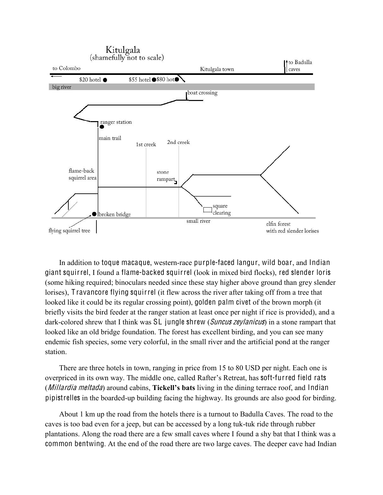

In addition to toque macaque, western-race purple-faced langur, wild boar, and Indian giant squirrel, I found a flame-backed squirrel (look in mixed bird flocks), red slender loris (some hiking required; binoculars needed since these stay higher above ground than grey slender lorises), T ravancore flying squirrel (it flew across the river after taking off from a tree that looked like it could be its regular crossing point), golden palm civet of the brown morph (it briefly visits the bird feeder at the ranger station at least once per night if rice is provided), and a dark-colored shrew that I think was SL jungle shrew *(Suncus zeylanicus)* in a stone rampart that looked like an old bridge foundation. The forest has excellent birding, and you can see many endemic fish species, some very colorful, in the small river and the artificial pond at the ranger station.

There are three hotels in town, ranging in price from 15 to 80 USD per night. Each one is overpriced in its own way. The middle one, called Rafter's Retreat, has soft-furred field rats (*Millardia meltada*) around cabins, **Tickell's bats** living in the dining terrace roof, and Indian pipistrelles in the boarded-up building facing the highway. Its grounds are also good for birding.

About 1 km up the road from the hotels there is a turnout to Badulla Caves. The road to the caves is too bad even for a jeep, but can be accessed by a long tuk-tuk ride through rubber plantations. Along the road there are a few small caves where I found a shy bat that I think was a common bentwing. At the end of the road there are two large caves. The deeper cave had Indian